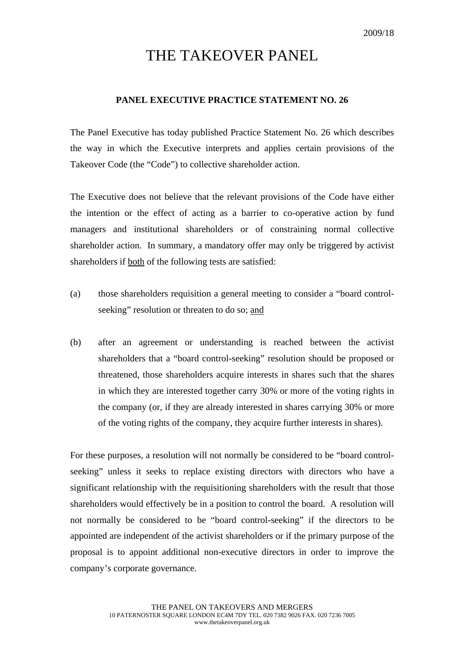## THE TAKEOVER PANEL

## **PANEL EXECUTIVE PRACTICE STATEMENT NO. 26**

The Panel Executive has today published Practice Statement No. 26 which describes the way in which the Executive interprets and applies certain provisions of the Takeover Code (the "Code") to collective shareholder action.

The Executive does not believe that the relevant provisions of the Code have either the intention or the effect of acting as a barrier to co-operative action by fund managers and institutional shareholders or of constraining normal collective shareholder action. In summary, a mandatory offer may only be triggered by activist shareholders if both of the following tests are satisfied:

- (a) those shareholders requisition a general meeting to consider a "board controlseeking" resolution or threaten to do so; and
- (b) after an agreement or understanding is reached between the activist shareholders that a "board control-seeking" resolution should be proposed or threatened, those shareholders acquire interests in shares such that the shares in which they are interested together carry 30% or more of the voting rights in the company (or, if they are already interested in shares carrying 30% or more of the voting rights of the company, they acquire further interests in shares).

For these purposes, a resolution will not normally be considered to be "board controlseeking" unless it seeks to replace existing directors with directors who have a significant relationship with the requisitioning shareholders with the result that those shareholders would effectively be in a position to control the board. A resolution will not normally be considered to be "board control-seeking" if the directors to be appointed are independent of the activist shareholders or if the primary purpose of the proposal is to appoint additional non-executive directors in order to improve the company's corporate governance.